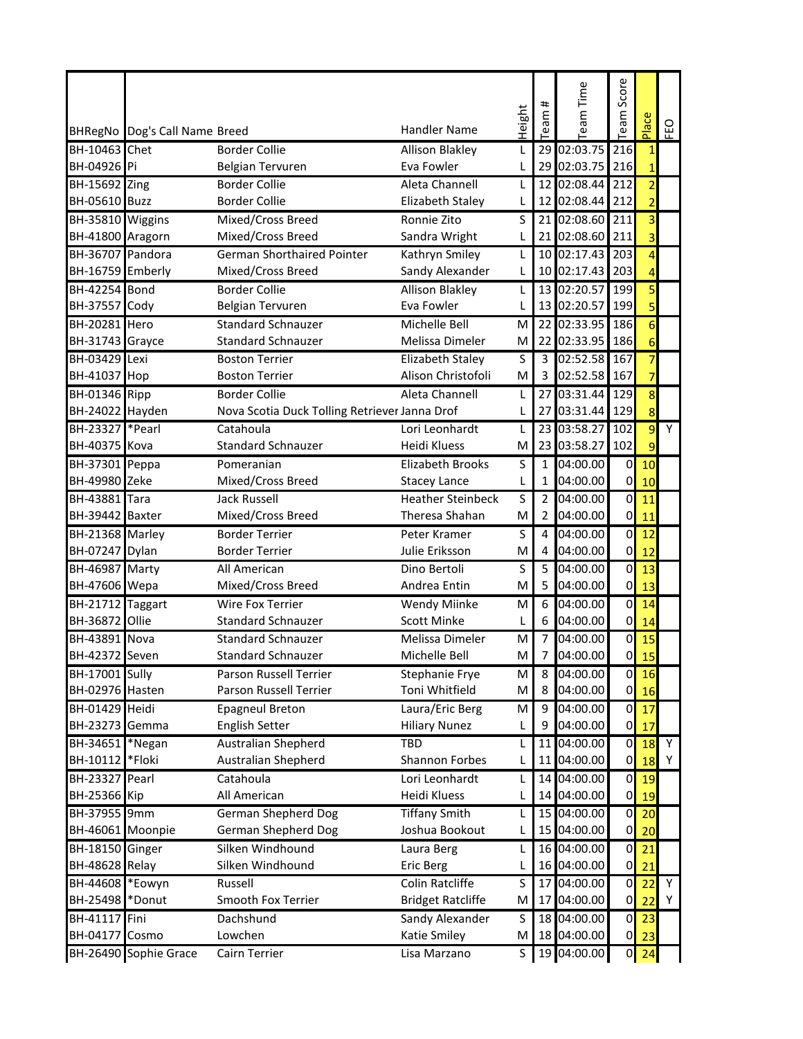|                        |                               |                                               |                          |        |                 |                 | Score                   |                         |    |
|------------------------|-------------------------------|-----------------------------------------------|--------------------------|--------|-----------------|-----------------|-------------------------|-------------------------|----|
|                        |                               |                                               |                          |        | #<br>$\epsilon$ | eam Time        |                         |                         |    |
|                        | BHRegNo Dog's Call Name Breed |                                               | <b>Handler Name</b>      | Height | සි              |                 | eam                     | Place                   | EO |
| BH-10463 Chet          |                               | <b>Border Collie</b>                          | <b>Allison Blakley</b>   | L      | 29              | 02:03.75        | 216                     | $1\overline{ }$         |    |
| BH-04926 Pi            |                               | Belgian Tervuren                              | Eva Fowler               | L      |                 | 29 02:03.75     | 216                     | $\mathbf{1}$            |    |
| <b>BH-15692 Zing</b>   |                               | <b>Border Collie</b>                          | Aleta Channell           | L      |                 | 12 02:08.44     | 212                     | $\overline{2}$          |    |
| <b>BH-05610 Buzz</b>   |                               | <b>Border Collie</b>                          | Elizabeth Staley         | L      |                 | 12 02:08.44     | 212                     | $\overline{2}$          |    |
| BH-35810 Wiggins       |                               | Mixed/Cross Breed                             | Ronnie Zito              | S      | 21              | 02:08.60        | 211                     | $\overline{3}$          |    |
| BH-41800 Aragorn       |                               | Mixed/Cross Breed                             | Sandra Wright            | L      |                 | 21 02:08.60 211 |                         | $\overline{3}$          |    |
| BH-36707 Pandora       |                               | <b>German Shorthaired Pointer</b>             | Kathryn Smiley           | L      |                 | 10 02:17.43     | 203                     | $\overline{4}$          |    |
| BH-16759 Emberly       |                               | Mixed/Cross Breed                             | Sandy Alexander          | L      |                 | 10 02:17.43     | 203                     | $\overline{4}$          |    |
| BH-42254 Bond          |                               | <b>Border Collie</b>                          | <b>Allison Blakley</b>   | L      |                 | 13 02:20.57     | 199                     | 5                       |    |
| <b>BH-37557 Cody</b>   |                               | Belgian Tervuren                              | Eva Fowler               | L      | 13              | 02:20.57        | 199                     | $\overline{5}$          |    |
| <b>BH-20281 Hero</b>   |                               | <b>Standard Schnauzer</b>                     | Michelle Bell            | M      | 22              | 02:33.95        | 186                     | $\overline{6}$          |    |
| <b>BH-31743</b> Grayce |                               | <b>Standard Schnauzer</b>                     | Melissa Dimeler          | м      |                 | 22 02:33.95     | 186                     | $6 \overline{}$         |    |
| <b>BH-03429</b> Lexi   |                               | <b>Boston Terrier</b>                         | <b>Elizabeth Staley</b>  | S      | 3               | 02:52.58        | 167                     | $\overline{7}$          |    |
| BH-41037 Hop           |                               | <b>Boston Terrier</b>                         | Alison Christofoli       | M      | 3               | 02:52.58 167    |                         | 7                       |    |
| <b>BH-01346</b> Ripp   |                               | <b>Border Collie</b>                          | Aleta Channell           | L      | 27              | 03:31.44        | 129                     | $\overline{\mathbf{8}}$ |    |
| BH-24022 Hayden        |                               | Nova Scotia Duck Tolling Retriever Janna Drof |                          | L      | 27              | 03:31.44        | 129                     | 8                       |    |
| <b>BH-23327 *Pearl</b> |                               | Catahoula                                     | Lori Leonhardt           | L      |                 | 23 03:58.27 102 |                         | $\overline{9}$          | Y  |
| <b>BH-40375 Kova</b>   |                               | <b>Standard Schnauzer</b>                     | <b>Heidi Kluess</b>      | м      |                 | 23 03:58.27     | 102                     | 9                       |    |
| <b>BH-37301</b> Peppa  |                               | Pomeranian                                    | Elizabeth Brooks         | S      | $\mathbf{1}$    | 04:00.00        | $\pmb{0}$               | 10                      |    |
| <b>BH-49980 Zeke</b>   |                               | Mixed/Cross Breed                             | <b>Stacey Lance</b>      | L      | $\mathbf{1}$    | 04:00.00        | $\pmb{0}$               | 10                      |    |
| <b>BH-43881</b> Tara   |                               | Jack Russell                                  | <b>Heather Steinbeck</b> | S      | $\overline{2}$  | 04:00.00        | o                       | 11                      |    |
| BH-39442 Baxter        |                               | Mixed/Cross Breed                             | Theresa Shahan           | M      | $\overline{2}$  | 04:00.00        | $\pmb{0}$               | 11                      |    |
| BH-21368 Marley        |                               | <b>Border Terrier</b>                         | Peter Kramer             | S      | 4               | 04:00.00        | $\pmb{0}$               | 12                      |    |
| <b>BH-07247</b> Dylan  |                               | <b>Border Terrier</b>                         | Julie Eriksson           | M      | 4               | 04:00.00        | $\pmb{0}$               | 12                      |    |
| <b>BH-46987 Marty</b>  |                               | All American                                  | Dino Bertoli             | S      | 5               | 04:00.00        | $\overline{\mathbf{0}}$ | 13                      |    |
| <b>BH-47606</b> Wepa   |                               | Mixed/Cross Breed                             | Andrea Entin             | M      | 5               | 04:00.00        | 0                       | 13                      |    |
| BH-21712 Taggart       |                               | Wire Fox Terrier                              | Wendy Miinke             | M      | 6               | 04:00.00        | $\mathbf 0$             | 14                      |    |
| <b>BH-36872 Ollie</b>  |                               | <b>Standard Schnauzer</b>                     | <b>Scott Minke</b>       | L      | 6               | 04:00.00        | $\pmb{0}$               | 14                      |    |
| <b>BH-43891 Nova</b>   |                               | <b>Standard Schnauzer</b>                     | Melissa Dimeler          | M      | $\overline{7}$  | 04:00.00        | o                       | 15                      |    |
| BH-42372 Seven         |                               | Standard Schnauzer                            | Michelle Bell            | M      | $\overline{7}$  | 04:00.00        | $\overline{0}$          | 15                      |    |
| <b>BH-17001</b> Sully  |                               | Parson Russell Terrier                        | Stephanie Frye           | M      | 8               | 04:00.00        | $\overline{0}$          | 16                      |    |
| BH-02976 Hasten        |                               | Parson Russell Terrier                        | Toni Whitfield           | M      | 8               | 04:00.00        | $\overline{0}$          | 16                      |    |
| <b>BH-01429</b> Heidi  |                               | <b>Epagneul Breton</b>                        | Laura/Eric Berg          | M      | 9               | 04:00.00        | $\pmb{0}$               | 17                      |    |
| BH-23273 Gemma         |                               | <b>English Setter</b>                         | <b>Hiliary Nunez</b>     | L      | 9               | 04:00.00        | 0                       | 17                      |    |
| BH-34651 *Negan        |                               | <b>Australian Shepherd</b>                    | <b>TBD</b>               | L      | 11              | 04:00.00        | $\overline{0}$          | 18                      | Y  |
| BH-10112               | *Floki                        | Australian Shepherd                           | <b>Shannon Forbes</b>    | L      | 11              | 04:00.00        | $\overline{0}$          | 18                      | Y  |
| <b>BH-23327</b> Pearl  |                               | Catahoula                                     | Lori Leonhardt           | L      | 14              | 04:00.00        | $\pmb{0}$               | 19                      |    |
| <b>BH-25366</b> Kip    |                               | All American                                  | Heidi Kluess             | L      |                 | 14 04:00.00     | 0                       | 19                      |    |
| BH-37955 9mm           |                               | German Shepherd Dog                           | <b>Tiffany Smith</b>     | L      |                 | 15 04:00.00     | o                       | 20                      |    |
| BH-46061 Moonpie       |                               | German Shepherd Dog                           | Joshua Bookout           | L      |                 | 15 04:00.00     | $\boldsymbol{0}$        | 20                      |    |
| BH-18150 Ginger        |                               | Silken Windhound                              | Laura Berg               | L      |                 | 16 04:00.00     | $\pmb{0}$               | 21                      |    |
| <b>BH-48628 Relay</b>  |                               | Silken Windhound                              | <b>Eric Berg</b>         | L      |                 | 16 04:00.00     | 0                       | 21                      |    |
| BH-44608 *Eowyn        |                               | Russell                                       | Colin Ratcliffe          | S      |                 | 17 04:00.00     | $\pmb{0}$               | 22                      | Υ  |
| BH-25498               | *Donut                        | Smooth Fox Terrier                            | <b>Bridget Ratcliffe</b> | М      | 17              | 04:00.00        | 0                       | 22                      | Y  |
| <b>BH-41117</b> Fini   |                               | Dachshund                                     | Sandy Alexander          | S      |                 | 18 04:00.00     | $\pmb{0}$               | 23                      |    |
| BH-04177 Cosmo         |                               | Lowchen                                       | Katie Smiley             | M      |                 | 18 04:00.00     | $\pmb{0}$               | 23                      |    |
|                        | BH-26490 Sophie Grace         | Cairn Terrier                                 | Lisa Marzano             | S      |                 | 19 04:00.00     | $\mathbf 0$             | 24                      |    |